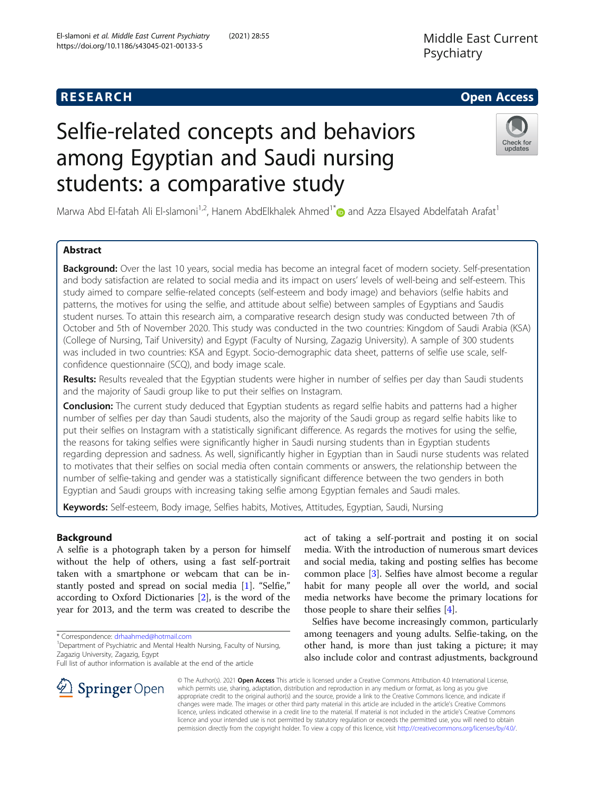# Selfie-related concepts and behaviors among Egyptian and Saudi nursing students: a comparative study



Marwa Abd El-fatah Ali El-slamoni<sup>1,2</sup>, Hanem AbdElkhalek Ahmed<sup>1\*</sup> and Azza Elsayed Abdelfatah Arafat<sup>1</sup>

# Abstract

Background: Over the last 10 years, social media has become an integral facet of modern society. Self-presentation and body satisfaction are related to social media and its impact on users' levels of well-being and self-esteem. This study aimed to compare selfie-related concepts (self-esteem and body image) and behaviors (selfie habits and patterns, the motives for using the selfie, and attitude about selfie) between samples of Egyptians and Saudis student nurses. To attain this research aim, a comparative research design study was conducted between 7th of October and 5th of November 2020. This study was conducted in the two countries: Kingdom of Saudi Arabia (KSA) (College of Nursing, Taif University) and Egypt (Faculty of Nursing, Zagazig University). A sample of 300 students was included in two countries: KSA and Egypt. Socio-demographic data sheet, patterns of selfie use scale, selfconfidence questionnaire (SCQ), and body image scale.

Results: Results revealed that the Egyptian students were higher in number of selfies per day than Saudi students and the majority of Saudi group like to put their selfies on Instagram.

**Conclusion:** The current study deduced that Egyptian students as regard selfie habits and patterns had a higher number of selfies per day than Saudi students, also the majority of the Saudi group as regard selfie habits like to put their selfies on Instagram with a statistically significant difference. As regards the motives for using the selfie, the reasons for taking selfies were significantly higher in Saudi nursing students than in Egyptian students regarding depression and sadness. As well, significantly higher in Egyptian than in Saudi nurse students was related to motivates that their selfies on social media often contain comments or answers, the relationship between the number of selfie-taking and gender was a statistically significant difference between the two genders in both Egyptian and Saudi groups with increasing taking selfie among Egyptian females and Saudi males.

Keywords: Self-esteem, Body image, Selfies habits, Motives, Attitudes, Egyptian, Saudi, Nursing

# Background

A selfie is a photograph taken by a person for himself without the help of others, using a fast self-portrait taken with a smartphone or webcam that can be instantly posted and spread on social media [[1\]](#page-10-0). "Selfie," according to Oxford Dictionaries [\[2](#page-11-0)], is the word of the year for 2013, and the term was created to describe the

\* Correspondence: [drhaahmed@hotmail.com](mailto:drhaahmed@hotmail.com) <sup>1</sup>

SpringerOpen



Selfies have become increasingly common, particularly among teenagers and young adults. Selfie-taking, on the other hand, is more than just taking a picture; it may also include color and contrast adjustments, background

© The Author(s). 2021 Open Access This article is licensed under a Creative Commons Attribution 4.0 International License, which permits use, sharing, adaptation, distribution and reproduction in any medium or format, as long as you give appropriate credit to the original author(s) and the source, provide a link to the Creative Commons licence, and indicate if changes were made. The images or other third party material in this article are included in the article's Creative Commons licence, unless indicated otherwise in a credit line to the material. If material is not included in the article's Creative Commons licence and your intended use is not permitted by statutory regulation or exceeds the permitted use, you will need to obtain permission directly from the copyright holder. To view a copy of this licence, visit <http://creativecommons.org/licenses/by/4.0/>.

<sup>&</sup>lt;sup>1</sup> Department of Psychiatric and Mental Health Nursing, Faculty of Nursing, Zagazig University, Zagazig, Egypt

Full list of author information is available at the end of the article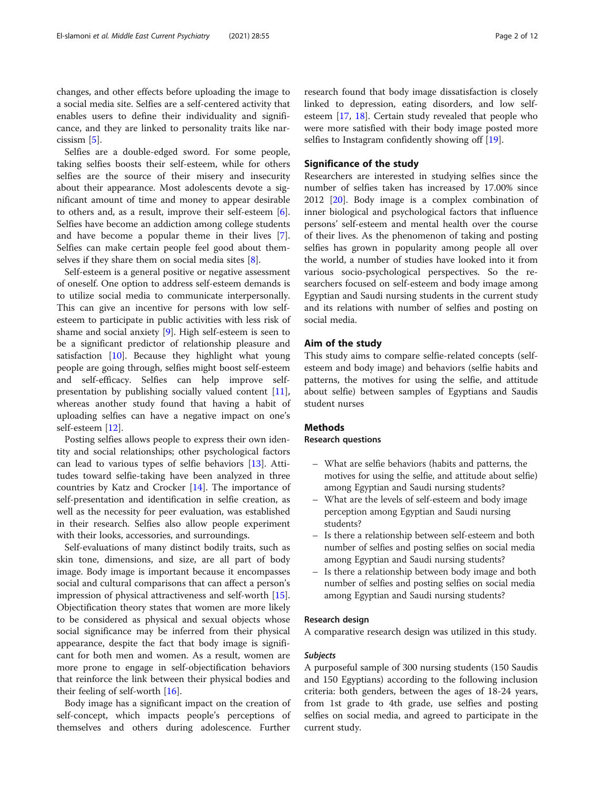changes, and other effects before uploading the image to a social media site. Selfies are a self-centered activity that enables users to define their individuality and significance, and they are linked to personality traits like narcissism [[5\]](#page-11-0).

Selfies are a double-edged sword. For some people, taking selfies boosts their self-esteem, while for others selfies are the source of their misery and insecurity about their appearance. Most adolescents devote a significant amount of time and money to appear desirable to others and, as a result, improve their self-esteem [\[6](#page-11-0)]. Selfies have become an addiction among college students and have become a popular theme in their lives [\[7](#page-11-0)]. Selfies can make certain people feel good about themselves if they share them on social media sites  $[8]$  $[8]$ .

Self-esteem is a general positive or negative assessment of oneself. One option to address self-esteem demands is to utilize social media to communicate interpersonally. This can give an incentive for persons with low selfesteem to participate in public activities with less risk of shame and social anxiety [[9\]](#page-11-0). High self-esteem is seen to be a significant predictor of relationship pleasure and satisfaction  $[10]$ . Because they highlight what young people are going through, selfies might boost self-esteem and self-efficacy. Selfies can help improve selfpresentation by publishing socially valued content [\[11](#page-11-0)], whereas another study found that having a habit of uploading selfies can have a negative impact on one's self-esteem [\[12](#page-11-0)].

Posting selfies allows people to express their own identity and social relationships; other psychological factors can lead to various types of selfie behaviors [[13](#page-11-0)]. Attitudes toward selfie-taking have been analyzed in three countries by Katz and Crocker [[14\]](#page-11-0). The importance of self-presentation and identification in selfie creation, as well as the necessity for peer evaluation, was established in their research. Selfies also allow people experiment with their looks, accessories, and surroundings.

Self-evaluations of many distinct bodily traits, such as skin tone, dimensions, and size, are all part of body image. Body image is important because it encompasses social and cultural comparisons that can affect a person's impression of physical attractiveness and self-worth [\[15](#page-11-0)]. Objectification theory states that women are more likely to be considered as physical and sexual objects whose social significance may be inferred from their physical appearance, despite the fact that body image is significant for both men and women. As a result, women are more prone to engage in self-objectification behaviors that reinforce the link between their physical bodies and their feeling of self-worth [[16\]](#page-11-0).

Body image has a significant impact on the creation of self-concept, which impacts people's perceptions of themselves and others during adolescence. Further

# Significance of the study

Researchers are interested in studying selfies since the number of selfies taken has increased by 17.00% since 2012 [\[20](#page-11-0)]. Body image is a complex combination of inner biological and psychological factors that influence persons' self-esteem and mental health over the course of their lives. As the phenomenon of taking and posting selfies has grown in popularity among people all over the world, a number of studies have looked into it from various socio-psychological perspectives. So the researchers focused on self-esteem and body image among Egyptian and Saudi nursing students in the current study and its relations with number of selfies and posting on social media.

# Aim of the study

This study aims to compare selfie-related concepts (selfesteem and body image) and behaviors (selfie habits and patterns, the motives for using the selfie, and attitude about selfie) between samples of Egyptians and Saudis student nurses

# **Methods**

# Research questions

- What are selfie behaviors (habits and patterns, the motives for using the selfie, and attitude about selfie) among Egyptian and Saudi nursing students?
- What are the levels of self-esteem and body image perception among Egyptian and Saudi nursing students?
- Is there a relationship between self-esteem and both number of selfies and posting selfies on social media among Egyptian and Saudi nursing students?
- Is there a relationship between body image and both number of selfies and posting selfies on social media among Egyptian and Saudi nursing students?

# Research design

A comparative research design was utilized in this study.

# Subjects

A purposeful sample of 300 nursing students (150 Saudis and 150 Egyptians) according to the following inclusion criteria: both genders, between the ages of 18-24 years, from 1st grade to 4th grade, use selfies and posting selfies on social media, and agreed to participate in the current study.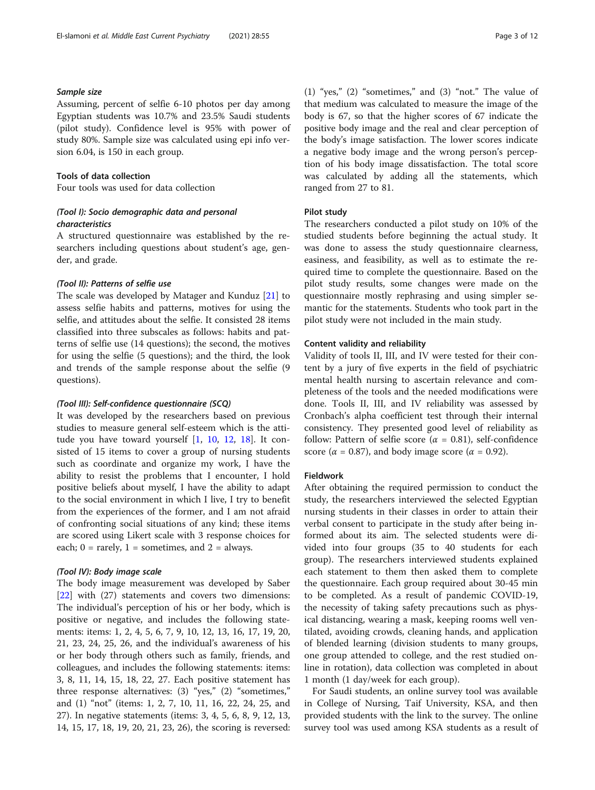# Sample size

Assuming, percent of selfie 6-10 photos per day among Egyptian students was 10.7% and 23.5% Saudi students (pilot study). Confidence level is 95% with power of study 80%. Sample size was calculated using epi info version 6.04, is 150 in each group.

# Tools of data collection

Four tools was used for data collection

# (Tool I): Socio demographic data and personal characteristics

A structured questionnaire was established by the researchers including questions about student's age, gender, and grade.

# (Tool II): Patterns of selfie use

The scale was developed by Matager and Kunduz [\[21](#page-11-0)] to assess selfie habits and patterns, motives for using the selfie, and attitudes about the selfie. It consisted 28 items classified into three subscales as follows: habits and patterns of selfie use (14 questions); the second, the motives for using the selfie (5 questions); and the third, the look and trends of the sample response about the selfie (9 questions).

# (Tool III): Self-confidence questionnaire (SCQ)

It was developed by the researchers based on previous studies to measure general self-esteem which is the attitude you have toward yourself [[1,](#page-10-0) [10](#page-11-0), [12](#page-11-0), [18\]](#page-11-0). It consisted of 15 items to cover a group of nursing students such as coordinate and organize my work, I have the ability to resist the problems that I encounter, I hold positive beliefs about myself, I have the ability to adapt to the social environment in which I live, I try to benefit from the experiences of the former, and I am not afraid of confronting social situations of any kind; these items are scored using Likert scale with 3 response choices for each;  $0 = \text{rarely}, 1 = \text{sometimes}, \text{and } 2 = \text{always}.$ 

# (Tool IV): Body image scale

The body image measurement was developed by Saber [[22\]](#page-11-0) with (27) statements and covers two dimensions: The individual's perception of his or her body, which is positive or negative, and includes the following statements: items: 1, 2, 4, 5, 6, 7, 9, 10, 12, 13, 16, 17, 19, 20, 21, 23, 24, 25, 26, and the individual's awareness of his or her body through others such as family, friends, and colleagues, and includes the following statements: items: 3, 8, 11, 14, 15, 18, 22, 27. Each positive statement has three response alternatives: (3) "yes," (2) "sometimes," and (1) "not" (items: 1, 2, 7, 10, 11, 16, 22, 24, 25, and 27). In negative statements (items: 3, 4, 5, 6, 8, 9, 12, 13, 14, 15, 17, 18, 19, 20, 21, 23, 26), the scoring is reversed: (1) "yes," (2) "sometimes," and (3) "not." The value of that medium was calculated to measure the image of the body is 67, so that the higher scores of 67 indicate the positive body image and the real and clear perception of the body's image satisfaction. The lower scores indicate a negative body image and the wrong person's perception of his body image dissatisfaction. The total score was calculated by adding all the statements, which ranged from 27 to 81.

# Pilot study

The researchers conducted a pilot study on 10% of the studied students before beginning the actual study. It was done to assess the study questionnaire clearness, easiness, and feasibility, as well as to estimate the required time to complete the questionnaire. Based on the pilot study results, some changes were made on the questionnaire mostly rephrasing and using simpler semantic for the statements. Students who took part in the pilot study were not included in the main study.

# Content validity and reliability

Validity of tools II, III, and IV were tested for their content by a jury of five experts in the field of psychiatric mental health nursing to ascertain relevance and completeness of the tools and the needed modifications were done. Tools II, III, and IV reliability was assessed by Cronbach's alpha coefficient test through their internal consistency. They presented good level of reliability as follow: Pattern of selfie score ( $\alpha = 0.81$ ), self-confidence score ( $\alpha$  = 0.87), and body image score ( $\alpha$  = 0.92).

## Fieldwork

After obtaining the required permission to conduct the study, the researchers interviewed the selected Egyptian nursing students in their classes in order to attain their verbal consent to participate in the study after being informed about its aim. The selected students were divided into four groups (35 to 40 students for each group). The researchers interviewed students explained each statement to them then asked them to complete the questionnaire. Each group required about 30-45 min to be completed. As a result of pandemic COVID-19, the necessity of taking safety precautions such as physical distancing, wearing a mask, keeping rooms well ventilated, avoiding crowds, cleaning hands, and application of blended learning (division students to many groups, one group attended to college, and the rest studied online in rotation), data collection was completed in about 1 month (1 day/week for each group).

For Saudi students, an online survey tool was available in College of Nursing, Taif University, KSA, and then provided students with the link to the survey. The online survey tool was used among KSA students as a result of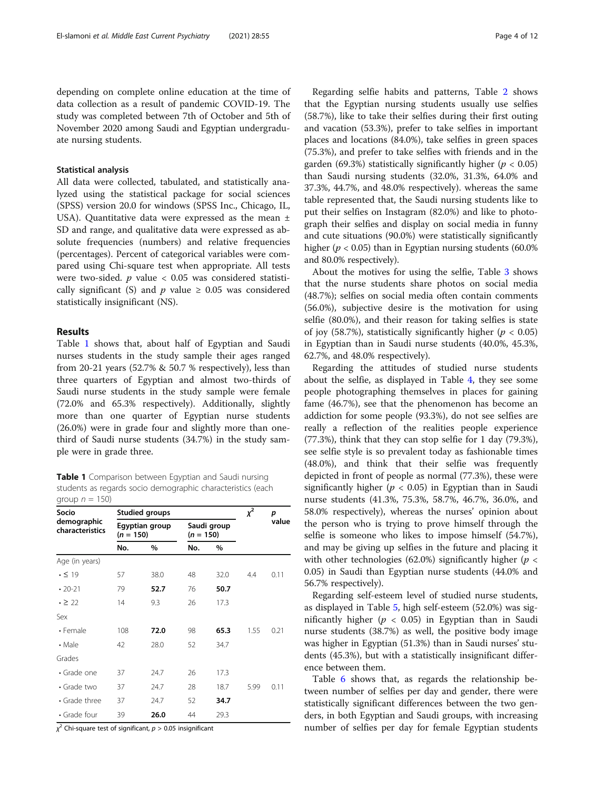depending on complete online education at the time of data collection as a result of pandemic COVID-19. The study was completed between 7th of October and 5th of November 2020 among Saudi and Egyptian undergraduate nursing students.

# Statistical analysis

All data were collected, tabulated, and statistically analyzed using the statistical package for social sciences (SPSS) version 20.0 for windows (SPSS Inc., Chicago, IL, USA). Quantitative data were expressed as the mean ± SD and range, and qualitative data were expressed as absolute frequencies (numbers) and relative frequencies (percentages). Percent of categorical variables were compared using Chi-square test when appropriate. All tests were two-sided.  $p$  value < 0.05 was considered statistically significant (S) and  $p$  value  $\geq$  0.05 was considered statistically insignificant (NS).

# Results

Table 1 shows that, about half of Egyptian and Saudi nurses students in the study sample their ages ranged from 20-21 years (52.7% & 50.7 % respectively), less than three quarters of Egyptian and almost two-thirds of Saudi nurse students in the study sample were female (72.0% and 65.3% respectively). Additionally, slightly more than one quarter of Egyptian nurse students (26.0%) were in grade four and slightly more than onethird of Saudi nurse students (34.7%) in the study sample were in grade three.

Table 1 Comparison between Egyptian and Saudi nursing students as regards socio demographic characteristics (each group  $n = 150$ )

| Socio                          |             | <b>Studied groups</b> | $x^2$       | р           |      |       |  |
|--------------------------------|-------------|-----------------------|-------------|-------------|------|-------|--|
| demographic<br>characteristics | $(n = 150)$ | Egyptian group        | $(n = 150)$ | Saudi group |      | value |  |
|                                | No.         | %                     | No.         | $\%$        |      |       |  |
| Age (in years)                 |             |                       |             |             |      |       |  |
| $\cdot$ $\leq$ 19              | 57          | 38.0                  | 48          | 32.0        | 4.4  | 0.11  |  |
| $\cdot$ 20-21                  | 79          | 52.7                  | 76          | 50.7        |      |       |  |
| $\cdot \geq 22$                | 14          | 9.3                   | 26          | 17.3        |      |       |  |
| Sex                            |             |                       |             |             |      |       |  |
| • Female                       | 108         | 72.0                  | 98          | 65.3        | 1.55 | 0.21  |  |
| $\cdot$ Male                   | 42          | 28.0                  | 52          | 34.7        |      |       |  |
| Grades                         |             |                       |             |             |      |       |  |
| • Grade one                    | 37          | 24.7                  | 26          | 17.3        |      |       |  |
| • Grade two                    | 37          | 24.7                  | 28          | 18.7        | 5.99 | 0.11  |  |
| • Grade three                  | 37          | 24.7                  | 52          | 34.7        |      |       |  |
| • Grade four                   | 39          | 26.0                  | 44          | 29.3        |      |       |  |

 $\chi^2$  Chi-square test of significant,  $p > 0.05$  insignificant

Regarding selfie habits and patterns, Table [2](#page-4-0) shows that the Egyptian nursing students usually use selfies (58.7%), like to take their selfies during their first outing and vacation (53.3%), prefer to take selfies in important places and locations (84.0%), take selfies in green spaces (75.3%), and prefer to take selfies with friends and in the garden (69.3%) statistically significantly higher ( $p < 0.05$ ) than Saudi nursing students (32.0%, 31.3%, 64.0% and 37.3%, 44.7%, and 48.0% respectively). whereas the same table represented that, the Saudi nursing students like to put their selfies on Instagram (82.0%) and like to photograph their selfies and display on social media in funny and cute situations (90.0%) were statistically significantly higher ( $p < 0.05$ ) than in Egyptian nursing students (60.0%) and 80.0% respectively).

About the motives for using the selfie, Table [3](#page-6-0) shows that the nurse students share photos on social media (48.7%); selfies on social media often contain comments (56.0%), subjective desire is the motivation for using selfie (80.0%), and their reason for taking selfies is state of joy (58.7%), statistically significantly higher ( $p < 0.05$ ) in Egyptian than in Saudi nurse students (40.0%, 45.3%, 62.7%, and 48.0% respectively).

Regarding the attitudes of studied nurse students about the selfie, as displayed in Table [4](#page-7-0), they see some people photographing themselves in places for gaining fame (46.7%), see that the phenomenon has become an addiction for some people (93.3%), do not see selfies are really a reflection of the realities people experience (77.3%), think that they can stop selfie for 1 day (79.3%), see selfie style is so prevalent today as fashionable times (48.0%), and think that their selfie was frequently depicted in front of people as normal (77.3%), these were significantly higher ( $p < 0.05$ ) in Egyptian than in Saudi nurse students (41.3%, 75.3%, 58.7%, 46.7%, 36.0%, and 58.0% respectively), whereas the nurses' opinion about the person who is trying to prove himself through the selfie is someone who likes to impose himself (54.7%), and may be giving up selfies in the future and placing it with other technologies (62.0%) significantly higher ( $p <$ 0.05) in Saudi than Egyptian nurse students (44.0% and 56.7% respectively).

Regarding self-esteem level of studied nurse students, as displayed in Table [5](#page-8-0), high self-esteem (52.0%) was significantly higher ( $p < 0.05$ ) in Egyptian than in Saudi nurse students (38.7%) as well, the positive body image was higher in Egyptian (51.3%) than in Saudi nurses' students (45.3%), but with a statistically insignificant difference between them.

Table [6](#page-8-0) shows that, as regards the relationship between number of selfies per day and gender, there were statistically significant differences between the two genders, in both Egyptian and Saudi groups, with increasing number of selfies per day for female Egyptian students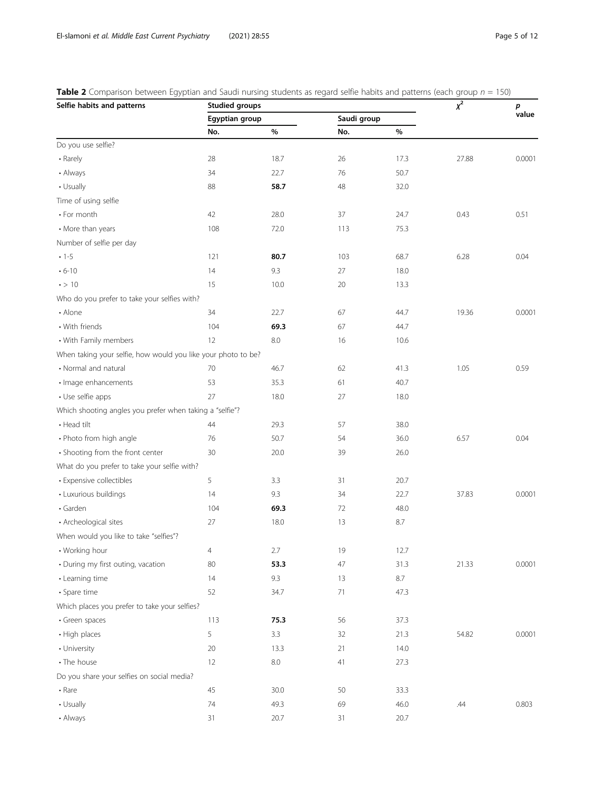<span id="page-4-0"></span>**Table 2** Comparison between Egyptian and Saudi nursing students as regard selfie habits and patterns (each group  $n = 150$ )

| Selfie habits and patterns                                    | <b>Studied groups</b> | $\chi^2$ | p           |      |       |        |  |
|---------------------------------------------------------------|-----------------------|----------|-------------|------|-------|--------|--|
|                                                               | Egyptian group        |          | Saudi group |      |       | value  |  |
|                                                               | No.                   | $\%$     | No.         | $\%$ |       |        |  |
| Do you use selfie?                                            |                       |          |             |      |       |        |  |
| • Rarely                                                      | 28                    | 18.7     | 26          | 17.3 | 27.88 | 0.0001 |  |
| • Always                                                      | 34                    | 22.7     | 76          | 50.7 |       |        |  |
| • Usually                                                     | 88                    | 58.7     | 48          | 32.0 |       |        |  |
| Time of using selfie                                          |                       |          |             |      |       |        |  |
| • For month                                                   | 42                    | 28.0     | 37          | 24.7 | 0.43  | 0.51   |  |
| • More than years                                             | 108                   | 72.0     | 113         | 75.3 |       |        |  |
| Number of selfie per day                                      |                       |          |             |      |       |        |  |
| $-1-5$                                                        | 121                   | 80.7     | 103         | 68.7 | 6.28  | 0.04   |  |
| $\cdot$ 6-10                                                  | 14                    | 9.3      | 27          | 18.0 |       |        |  |
| $\cdot$ > 10                                                  | 15                    | 10.0     | 20          | 13.3 |       |        |  |
| Who do you prefer to take your selfies with?                  |                       |          |             |      |       |        |  |
| • Alone                                                       | 34                    | 22.7     | 67          | 44.7 | 19.36 | 0.0001 |  |
| • With friends                                                | 104                   | 69.3     | 67          | 44.7 |       |        |  |
| • With Family members                                         | 12                    | $8.0\,$  | 16          | 10.6 |       |        |  |
| When taking your selfie, how would you like your photo to be? |                       |          |             |      |       |        |  |
| • Normal and natural                                          | 70                    | 46.7     | 62          | 41.3 | 1.05  | 0.59   |  |
| · Image enhancements                                          | 53                    | 35.3     | 61          | 40.7 |       |        |  |
| • Use selfie apps                                             | 27                    | 18.0     | 27          | 18.0 |       |        |  |
| Which shooting angles you prefer when taking a "selfie"?      |                       |          |             |      |       |        |  |
| • Head tilt                                                   | 44                    | 29.3     | 57          | 38.0 |       |        |  |
| • Photo from high angle                                       | 76                    | 50.7     | 54          | 36.0 | 6.57  | 0.04   |  |
| • Shooting from the front center                              | 30                    | 20.0     | 39          | 26.0 |       |        |  |
| What do you prefer to take your selfie with?                  |                       |          |             |      |       |        |  |
| • Expensive collectibles                                      | 5                     | 3.3      | 31          | 20.7 |       |        |  |
| • Luxurious buildings                                         | 14                    | 9.3      | 34          | 22.7 | 37.83 | 0.0001 |  |
| · Garden                                                      | 104                   | 69.3     | 72          | 48.0 |       |        |  |
| • Archeological sites                                         | 27                    | 18.0     | 13          | 8.7  |       |        |  |
| When would you like to take "selfies"?                        |                       |          |             |      |       |        |  |
| • Working hour                                                | $\overline{4}$        | 2.7      | 19          | 12.7 |       |        |  |
| • During my first outing, vacation                            | 80                    | 53.3     | 47          | 31.3 | 21.33 | 0.0001 |  |
| • Learning time                                               | 14                    | 9.3      | 13          | 8.7  |       |        |  |
| · Spare time                                                  | 52                    | 34.7     | 71          | 47.3 |       |        |  |
| Which places you prefer to take your selfies?                 |                       |          |             |      |       |        |  |
| • Green spaces                                                | 113                   | 75.3     | 56          | 37.3 |       |        |  |
| • High places                                                 | 5                     | 3.3      | 32          | 21.3 | 54.82 | 0.0001 |  |
| • University                                                  | 20                    | 13.3     | 21          | 14.0 |       |        |  |
| • The house                                                   | 12                    | $8.0\,$  | 41          | 27.3 |       |        |  |
| Do you share your selfies on social media?                    |                       |          |             |      |       |        |  |
| • Rare                                                        | 45                    | 30.0     | 50          | 33.3 |       |        |  |
| • Usually                                                     | 74                    | 49.3     | 69          | 46.0 | .44   | 0.803  |  |
| • Always                                                      | 31                    | 20.7     | 31          | 20.7 |       |        |  |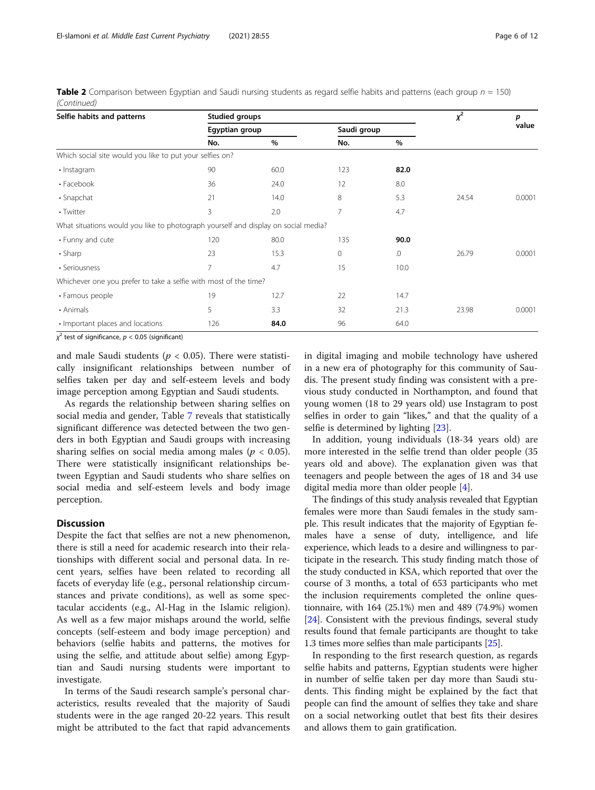**Table 2** Comparison between Egyptian and Saudi nursing students as regard selfie habits and patterns (each group  $n = 150$ ) (Continued)

| Selfie habits and patterns                                                         | <b>Studied groups</b> | $x^2$ | р           |            |       |        |  |
|------------------------------------------------------------------------------------|-----------------------|-------|-------------|------------|-------|--------|--|
|                                                                                    | Egyptian group        |       | Saudi group |            |       | value  |  |
|                                                                                    | No.                   | $\%$  | No.         | $\%$       |       |        |  |
| Which social site would you like to put your selfies on?                           |                       |       |             |            |       |        |  |
| · Instagram                                                                        | 90                    | 60.0  | 123         | 82.0       |       |        |  |
| • Facebook                                                                         | 36                    | 24.0  | 12          | 8.0        |       |        |  |
| $\cdot$ Snapchat                                                                   | 21                    | 14.0  | 8           | 5.3        | 24.54 | 0.0001 |  |
| • Twitter                                                                          | 3                     | 2.0   | 7           | 4.7        |       |        |  |
| What situations would you like to photograph yourself and display on social media? |                       |       |             |            |       |        |  |
| • Funny and cute                                                                   | 120                   | 80.0  | 135         | 90.0       |       |        |  |
| $\cdot$ Sharp                                                                      | 23                    | 15.3  | 0           | $\Omega$ . | 26.79 | 0.0001 |  |
| • Seriousness                                                                      | 7                     | 4.7   | 15          | 10.0       |       |        |  |
| Whichever one you prefer to take a selfie with most of the time?                   |                       |       |             |            |       |        |  |
| • Famous people                                                                    | 19                    | 12.7  | 22          | 14.7       |       |        |  |
| • Animals                                                                          | 5                     | 3.3   | 32          | 21.3       | 23.98 | 0.0001 |  |
| • Important places and locations                                                   | 126                   | 84.0  | 96          | 64.0       |       |        |  |

 $\chi^2$  test of significance,  $p < 0.05$  (significant)

and male Saudi students ( $p < 0.05$ ). There were statistically insignificant relationships between number of selfies taken per day and self-esteem levels and body image perception among Egyptian and Saudi students.

As regards the relationship between sharing selfies on social media and gender, Table [7](#page-9-0) reveals that statistically significant difference was detected between the two genders in both Egyptian and Saudi groups with increasing sharing selfies on social media among males ( $p < 0.05$ ). There were statistically insignificant relationships between Egyptian and Saudi students who share selfies on social media and self-esteem levels and body image perception.

# **Discussion**

Despite the fact that selfies are not a new phenomenon, there is still a need for academic research into their relationships with different social and personal data. In recent years, selfies have been related to recording all facets of everyday life (e.g., personal relationship circumstances and private conditions), as well as some spectacular accidents (e.g., Al-Hag in the Islamic religion). As well as a few major mishaps around the world, selfie concepts (self-esteem and body image perception) and behaviors (selfie habits and patterns, the motives for using the selfie, and attitude about selfie) among Egyptian and Saudi nursing students were important to investigate.

In terms of the Saudi research sample's personal characteristics, results revealed that the majority of Saudi students were in the age ranged 20-22 years. This result might be attributed to the fact that rapid advancements in digital imaging and mobile technology have ushered in a new era of photography for this community of Saudis. The present study finding was consistent with a previous study conducted in Northampton, and found that young women (18 to 29 years old) use Instagram to post selfies in order to gain "likes," and that the quality of a selfie is determined by lighting [[23](#page-11-0)].

In addition, young individuals (18-34 years old) are more interested in the selfie trend than older people (35 years old and above). The explanation given was that teenagers and people between the ages of 18 and 34 use digital media more than older people [[4\]](#page-11-0).

The findings of this study analysis revealed that Egyptian females were more than Saudi females in the study sample. This result indicates that the majority of Egyptian females have a sense of duty, intelligence, and life experience, which leads to a desire and willingness to participate in the research. This study finding match those of the study conducted in KSA, which reported that over the course of 3 months, a total of 653 participants who met the inclusion requirements completed the online questionnaire, with 164 (25.1%) men and 489 (74.9%) women [[24](#page-11-0)]. Consistent with the previous findings, several study results found that female participants are thought to take 1.3 times more selfies than male participants [\[25\]](#page-11-0).

In responding to the first research question, as regards selfie habits and patterns, Egyptian students were higher in number of selfie taken per day more than Saudi students. This finding might be explained by the fact that people can find the amount of selfies they take and share on a social networking outlet that best fits their desires and allows them to gain gratification.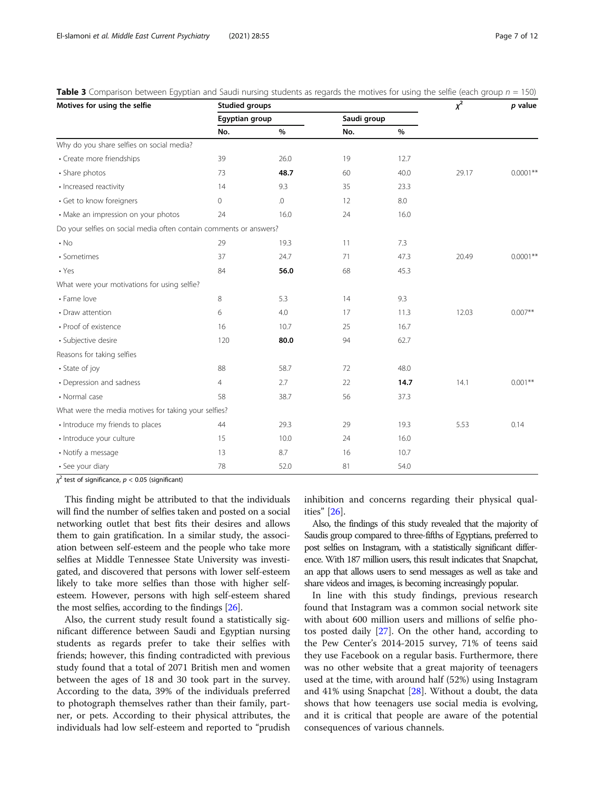|                | $\chi^2$                                                                                             | $p$ value                                                                                                     |      |             |             |
|----------------|------------------------------------------------------------------------------------------------------|---------------------------------------------------------------------------------------------------------------|------|-------------|-------------|
|                |                                                                                                      |                                                                                                               |      |             |             |
| No.            | $\%$                                                                                                 | No.                                                                                                           | $\%$ |             |             |
|                |                                                                                                      |                                                                                                               |      |             |             |
| 39             | 26.0                                                                                                 | 19                                                                                                            | 12.7 |             |             |
| 73             | 48.7                                                                                                 | 60                                                                                                            | 40.0 | 29.17       | $0.0001***$ |
| 14             | 9.3                                                                                                  | 35                                                                                                            | 23.3 |             |             |
| $\Omega$       | .0                                                                                                   | 12                                                                                                            | 8.0  |             |             |
| 24             | 16.0                                                                                                 | 24                                                                                                            | 16.0 |             |             |
|                |                                                                                                      |                                                                                                               |      |             |             |
| 29             | 19.3                                                                                                 | 11                                                                                                            | 7.3  |             |             |
| 37             | 24.7                                                                                                 | 71                                                                                                            | 47.3 | 20.49       | $0.0001**$  |
| 84             | 56.0                                                                                                 | 68                                                                                                            | 45.3 |             |             |
|                |                                                                                                      |                                                                                                               |      |             |             |
| 8              | 5.3                                                                                                  | 14                                                                                                            | 9.3  |             |             |
| 6              | 4.0                                                                                                  | 17                                                                                                            | 11.3 | 12.03       | $0.007**$   |
| 16             | 10.7                                                                                                 | 25                                                                                                            | 16.7 |             |             |
| 120            | 80.0                                                                                                 | 94                                                                                                            | 62.7 |             |             |
|                |                                                                                                      |                                                                                                               |      |             |             |
| 88             | 58.7                                                                                                 | 72                                                                                                            | 48.0 |             |             |
| $\overline{4}$ | 2.7                                                                                                  | 22                                                                                                            | 14.7 | 14.1        | $0.001**$   |
| 58             | 38.7                                                                                                 | 56                                                                                                            | 37.3 |             |             |
|                |                                                                                                      |                                                                                                               |      |             |             |
| 44             | 29.3                                                                                                 | 29                                                                                                            | 19.3 | 5.53        | 0.14        |
| 15             | 10.0                                                                                                 | 24                                                                                                            | 16.0 |             |             |
| 13             | 8.7                                                                                                  | 16                                                                                                            | 10.7 |             |             |
| 78             | 52.0                                                                                                 | 81                                                                                                            | 54.0 |             |             |
|                | What were your motivations for using selfie?<br>What were the media motives for taking your selfies? | <b>Studied groups</b><br>Egyptian group<br>Do your selfies on social media often contain comments or answers? |      | Saudi group |             |

<span id="page-6-0"></span>**Table 3** Comparison between Egyptian and Saudi nursing students as regards the motives for using the selfie (each group  $n = 150$ )

 $\chi^2$  test of significance,  $p < 0.05$  (significant)

This finding might be attributed to that the individuals will find the number of selfies taken and posted on a social networking outlet that best fits their desires and allows them to gain gratification. In a similar study, the association between self-esteem and the people who take more selfies at Middle Tennessee State University was investigated, and discovered that persons with lower self-esteem likely to take more selfies than those with higher selfesteem. However, persons with high self-esteem shared the most selfies, according to the findings  $[26]$ .

Also, the current study result found a statistically significant difference between Saudi and Egyptian nursing students as regards prefer to take their selfies with friends; however, this finding contradicted with previous study found that a total of 2071 British men and women between the ages of 18 and 30 took part in the survey. According to the data, 39% of the individuals preferred to photograph themselves rather than their family, partner, or pets. According to their physical attributes, the individuals had low self-esteem and reported to "prudish inhibition and concerns regarding their physical qualities" [[26\]](#page-11-0).

Also, the findings of this study revealed that the majority of Saudis group compared to three-fifths of Egyptians, preferred to post selfies on Instagram, with a statistically significant difference. With 187 million users, this result indicates that Snapchat, an app that allows users to send messages as well as take and share videos and images, is becoming increasingly popular.

In line with this study findings, previous research found that Instagram was a common social network site with about 600 million users and millions of selfie photos posted daily [\[27\]](#page-11-0). On the other hand, according to the Pew Center's 2014-2015 survey, 71% of teens said they use Facebook on a regular basis. Furthermore, there was no other website that a great majority of teenagers used at the time, with around half (52%) using Instagram and 41% using Snapchat [[28\]](#page-11-0). Without a doubt, the data shows that how teenagers use social media is evolving, and it is critical that people are aware of the potential consequences of various channels.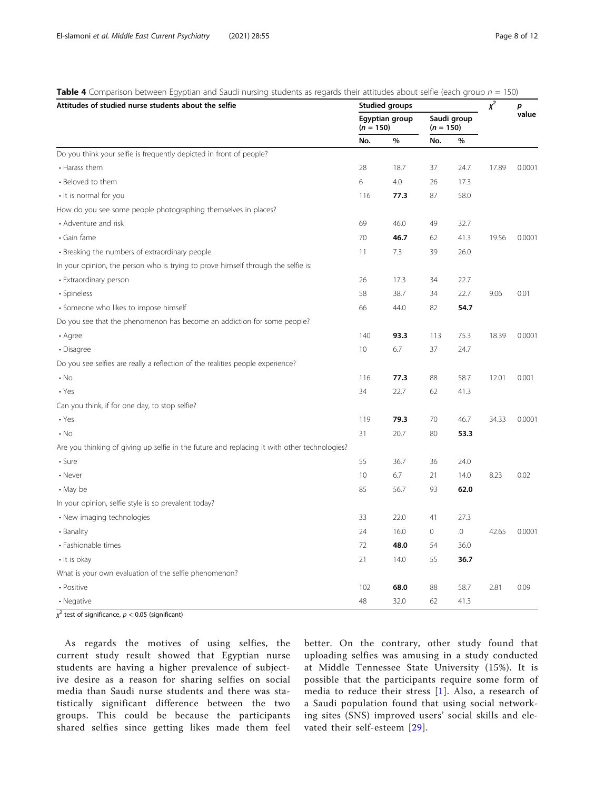| Attitudes of studied nurse students about the selfie                                         |             | <b>Studied groups</b> | $\chi^2$            | p           |       |        |  |
|----------------------------------------------------------------------------------------------|-------------|-----------------------|---------------------|-------------|-------|--------|--|
|                                                                                              | $(n = 150)$ | Egyptian group        | $(n = 150)$         | Saudi group |       | value  |  |
|                                                                                              | No.         | $\%$                  | No.                 | %           |       |        |  |
| Do you think your selfie is frequently depicted in front of people?                          |             |                       |                     |             |       |        |  |
| • Harass them                                                                                | 28          | 18.7                  | 37                  | 24.7        | 17.89 | 0.0001 |  |
| • Beloved to them                                                                            | 6           | 4.0                   | 26                  | 17.3        |       |        |  |
| • It is normal for you                                                                       | 116         | 77.3                  | 87                  | 58.0        |       |        |  |
| How do you see some people photographing themselves in places?                               |             |                       |                     |             |       |        |  |
| • Adventure and risk                                                                         | 69          | 46.0                  | 49                  | 32.7        |       |        |  |
| • Gain fame                                                                                  | 70          | 46.7                  | 62                  | 41.3        | 19.56 | 0.0001 |  |
| • Breaking the numbers of extraordinary people                                               | 11          | 7.3                   | 39                  | 26.0        |       |        |  |
| In your opinion, the person who is trying to prove himself through the selfie is:            |             |                       |                     |             |       |        |  |
| • Extraordinary person                                                                       | 26          | 17.3                  | 34                  | 22.7        |       |        |  |
| • Spineless                                                                                  | 58          | 38.7                  | 34                  | 22.7        | 9.06  | 0.01   |  |
| · Someone who likes to impose himself                                                        | 66          | 44.0                  | 82                  | 54.7        |       |        |  |
| Do you see that the phenomenon has become an addiction for some people?                      |             |                       |                     |             |       |        |  |
| • Agree                                                                                      | 140         | 93.3                  | 113                 | 75.3        | 18.39 | 0.0001 |  |
| • Disagree                                                                                   | 10          | 6.7                   | 37                  | 24.7        |       |        |  |
| Do you see selfies are really a reflection of the realities people experience?               |             |                       |                     |             |       |        |  |
| $\cdot$ No                                                                                   | 116         | 77.3                  | 88                  | 58.7        | 12.01 | 0.001  |  |
| $\cdot$ Yes                                                                                  | 34          | 22.7                  | 62                  | 41.3        |       |        |  |
| Can you think, if for one day, to stop selfie?                                               |             |                       |                     |             |       |        |  |
| $\cdot$ Yes                                                                                  | 119         | 79.3                  | 70                  | 46.7        | 34.33 | 0.0001 |  |
| $\cdot$ No                                                                                   | 31          | 20.7                  | 80                  | 53.3        |       |        |  |
| Are you thinking of giving up selfie in the future and replacing it with other technologies? |             |                       |                     |             |       |        |  |
| $\cdot$ Sure                                                                                 | 55          | 36.7                  | 36                  | 24.0        |       |        |  |
| • Never                                                                                      | 10          | 6.7                   | 21                  | 14.0        | 8.23  | 0.02   |  |
| • May be                                                                                     | 85          | 56.7                  | 93                  | 62.0        |       |        |  |
| In your opinion, selfie style is so prevalent today?                                         |             |                       |                     |             |       |        |  |
| • New imaging technologies                                                                   | 33          | 22.0                  | 41                  | 27.3        |       |        |  |
| • Banality                                                                                   | 24          | 16.0                  | $\mathsf{O}\xspace$ | .0          | 42.65 | 0.0001 |  |
| • Fashionable times                                                                          | 72          | 48.0                  | 54                  | 36.0        |       |        |  |
| • It is okay                                                                                 | 21          | 14.0                  | 55                  | 36.7        |       |        |  |
| What is your own evaluation of the selfie phenomenon?                                        |             |                       |                     |             |       |        |  |
| • Positive                                                                                   | 102         | 68.0                  | 88                  | 58.7        | 2.81  | 0.09   |  |
| • Negative                                                                                   | 48          | 32.0                  | 62                  | 41.3        |       |        |  |

<span id="page-7-0"></span>Table 4 Comparison between Egyptian and Saudi nursing students as regards their attitudes about selfie (each group  $n = 150$ )

 $\chi^2$  test of significance,  $p < 0.05$  (significant)

As regards the motives of using selfies, the current study result showed that Egyptian nurse students are having a higher prevalence of subjective desire as a reason for sharing selfies on social media than Saudi nurse students and there was statistically significant difference between the two groups. This could be because the participants shared selfies since getting likes made them feel better. On the contrary, other study found that uploading selfies was amusing in a study conducted at Middle Tennessee State University (15%). It is possible that the participants require some form of media to reduce their stress [[1](#page-10-0)]. Also, a research of a Saudi population found that using social networking sites (SNS) improved users' social skills and elevated their self-esteem [\[29\]](#page-11-0).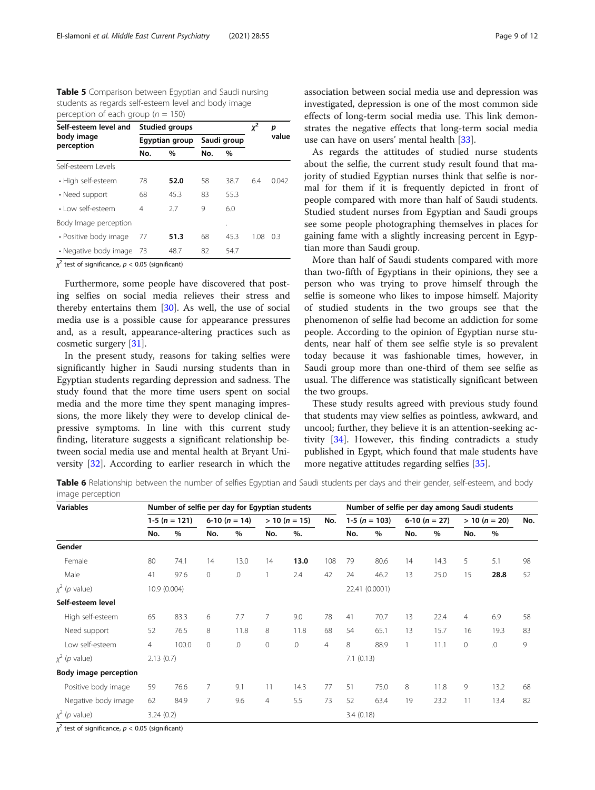<span id="page-8-0"></span>Table 5 Comparison between Egyptian and Saudi nursing students as regards self-esteem level and body image perception of each group ( $n = 150$ )

| Self-esteem level and    |                | <b>Studied groups</b> | χ <sup>2</sup> | р           |      |       |  |
|--------------------------|----------------|-----------------------|----------------|-------------|------|-------|--|
| body image<br>perception |                | Egyptian group        |                | Saudi group |      | value |  |
|                          | No.            | $\frac{0}{0}$         | No.            | $\%$        |      |       |  |
| Self-esteem Levels       |                |                       |                |             |      |       |  |
| • High self-esteem       | 78             | 52.0                  | 58             | 38.7        | 6.4  | 0.042 |  |
| • Need support           | 68             | 45.3                  | 83             | 55.3        |      |       |  |
| · Low self-esteem        | $\overline{4}$ | 27                    | 9              | 6.0         |      |       |  |
| Body Image perception    |                |                       |                | ٠           |      |       |  |
| • Positive body image    | 77             | 51.3                  | 68             | 45.3        | 1.08 | 0.3   |  |
| • Negative body image    | -73            | 48.7                  | 82             | 54.7        |      |       |  |

 $\chi^2$  test of significance,  $p < 0.05$  (significant)

Furthermore, some people have discovered that posting selfies on social media relieves their stress and thereby entertains them [\[30\]](#page-11-0). As well, the use of social media use is a possible cause for appearance pressures and, as a result, appearance-altering practices such as cosmetic surgery [[31\]](#page-11-0).

In the present study, reasons for taking selfies were significantly higher in Saudi nursing students than in Egyptian students regarding depression and sadness. The study found that the more time users spent on social media and the more time they spent managing impressions, the more likely they were to develop clinical depressive symptoms. In line with this current study finding, literature suggests a significant relationship between social media use and mental health at Bryant University [[32](#page-11-0)]. According to earlier research in which the association between social media use and depression was investigated, depression is one of the most common side effects of long-term social media use. This link demonstrates the negative effects that long-term social media use can have on users' mental health [[33](#page-11-0)].

As regards the attitudes of studied nurse students about the selfie, the current study result found that majority of studied Egyptian nurses think that selfie is normal for them if it is frequently depicted in front of people compared with more than half of Saudi students. Studied student nurses from Egyptian and Saudi groups see some people photographing themselves in places for gaining fame with a slightly increasing percent in Egyptian more than Saudi group.

More than half of Saudi students compared with more than two-fifth of Egyptians in their opinions, they see a person who was trying to prove himself through the selfie is someone who likes to impose himself. Majority of studied students in the two groups see that the phenomenon of selfie had become an addiction for some people. According to the opinion of Egyptian nurse students, near half of them see selfie style is so prevalent today because it was fashionable times, however, in Saudi group more than one-third of them see selfie as usual. The difference was statistically significant between the two groups.

These study results agreed with previous study found that students may view selfies as pointless, awkward, and uncool; further, they believe it is an attention-seeking activity [\[34\]](#page-11-0). However, this finding contradicts a study published in Egypt, which found that male students have more negative attitudes regarding selfies [[35\]](#page-11-0).

Table 6 Relationship between the number of selfies Egyptian and Saudi students per days and their gender, self-esteem, and body image perception

| <b>Variables</b>                  | Number of selfie per day for Egyptian students |                   |                |                   |                 |          |                |                   | Number of selfie per day among Saudi students |                |      |                 |            |     |
|-----------------------------------|------------------------------------------------|-------------------|----------------|-------------------|-----------------|----------|----------------|-------------------|-----------------------------------------------|----------------|------|-----------------|------------|-----|
|                                   |                                                | 1-5 ( $n = 121$ ) |                | 6-10 ( $n = 14$ ) | $> 10 (n = 15)$ |          | No.            | 1-5 ( $n = 103$ ) |                                               | $6-10(n = 27)$ |      | $> 10 (n = 20)$ |            | No. |
|                                   | No.                                            | %                 | No.            | $\%$              | No.             | %        |                | No.               | %                                             | No.            | %    | No.             | %          |     |
| Gender                            |                                                |                   |                |                   |                 |          |                |                   |                                               |                |      |                 |            |     |
| Female                            | 80                                             | 74.1              | 14             | 13.0              | 14              | 13.0     | 108            | 79                | 80.6                                          | 14             | 14.3 | 5               | 5.1        | 98  |
| Male                              | 41                                             | 97.6              | $\mathbf{0}$   | .0                |                 | 2.4      | 42             | 24                | 46.2                                          | 13             | 25.0 | 15              | 28.8       | 52  |
| $x^2$ ( <i>p</i> value)           |                                                | 10.9 (0.004)      |                |                   |                 |          |                |                   | 22.41 (0.0001)                                |                |      |                 |            |     |
| Self-esteem level                 |                                                |                   |                |                   |                 |          |                |                   |                                               |                |      |                 |            |     |
| High self-esteem                  | 65                                             | 83.3              | 6              | 7.7               | 7               | 9.0      | 78             | 41                | 70.7                                          | 13             | 22.4 | 4               | 6.9        | 58  |
| Need support                      | 52                                             | 76.5              | 8              | 11.8              | 8               | 11.8     | 68             | 54                | 65.1                                          | 13             | 15.7 | 16              | 19.3       | 83  |
| Low self-esteem                   | 4                                              | 100.0             | $\mathbf{0}$   | .0                | 0               | $\Omega$ | $\overline{4}$ | 8                 | 88.9                                          |                | 11.1 | 0               | $\Omega$ . | 9   |
| $x^2$ ( <i>p</i> value)           | 2.13(0.7)                                      |                   |                |                   |                 |          |                | 7.1(0.13)         |                                               |                |      |                 |            |     |
| <b>Body image perception</b>      |                                                |                   |                |                   |                 |          |                |                   |                                               |                |      |                 |            |     |
| Positive body image               | 59                                             | 76.6              | $\overline{7}$ | 9.1               | 11              | 14.3     | 77             | 51                | 75.0                                          | 8              | 11.8 | 9               | 13.2       | 68  |
| Negative body image               | 62                                             | 84.9              | $\overline{7}$ | 9.6               | $\overline{4}$  | 5.5      | 73             | 52                | 63.4                                          | 19             | 23.2 | 11              | 13.4       | 82  |
| $x^2$ ( <i>p</i> value)<br>$\sim$ | 3.24(0.2)                                      |                   |                |                   |                 |          |                | 3.4(0.18)         |                                               |                |      |                 |            |     |

 $\chi^2$  test of significance,  $p < 0.05$  (significant)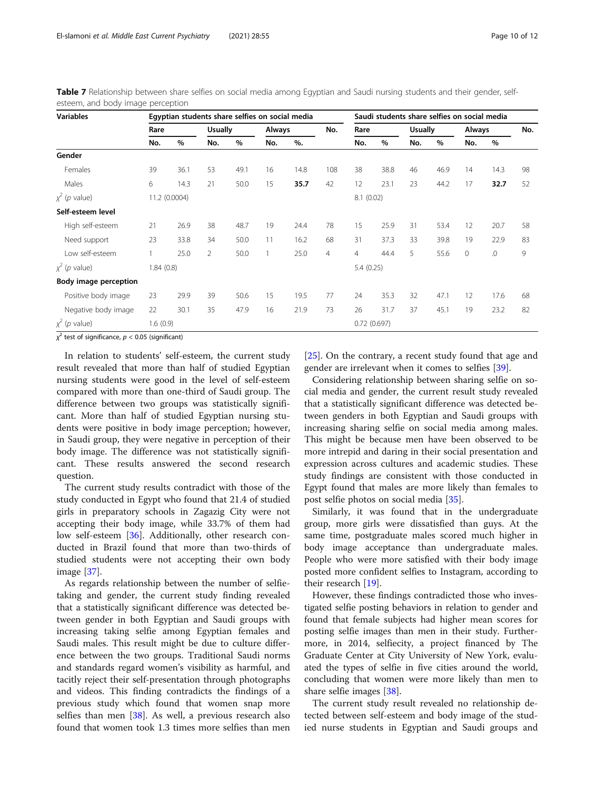| <b>Variables</b>           |           | Egyptian students share selfies on social media |                |      |               |      |     |                |      | Saudi students share selfies on social media |      |               |      |     |  |
|----------------------------|-----------|-------------------------------------------------|----------------|------|---------------|------|-----|----------------|------|----------------------------------------------|------|---------------|------|-----|--|
|                            | Rare      |                                                 | <b>Usually</b> |      | <b>Always</b> |      | No. | Rare           |      | <b>Usually</b>                               |      | <b>Always</b> |      | No. |  |
|                            | No.       | %                                               | No.            | %    | No.           | %    |     | No.            | %    | No.                                          | %    | No.           | %    |     |  |
| Gender                     |           |                                                 |                |      |               |      |     |                |      |                                              |      |               |      |     |  |
| Females                    | 39        | 36.1                                            | 53             | 49.1 | 16            | 14.8 | 108 | 38             | 38.8 | 46                                           | 46.9 | 14            | 14.3 | 98  |  |
| Males                      | 6         | 14.3                                            | 21             | 50.0 | 15            | 35.7 | 42  | 12             | 23.1 | 23                                           | 44.2 | 17            | 32.7 | 52  |  |
| $x^2$ (p value)            |           | 11.2 (0.0004)                                   |                |      |               |      |     | 8.1(0.02)      |      |                                              |      |               |      |     |  |
| Self-esteem level          |           |                                                 |                |      |               |      |     |                |      |                                              |      |               |      |     |  |
| High self-esteem           | 21        | 26.9                                            | 38             | 48.7 | 19            | 24.4 | 78  | 15             | 25.9 | 31                                           | 53.4 | 12            | 20.7 | 58  |  |
| Need support               | 23        | 33.8                                            | 34             | 50.0 | 11            | 16.2 | 68  | 31             | 37.3 | 33                                           | 39.8 | 19            | 22.9 | 83  |  |
| Low self-esteem            |           | 25.0                                            | 2              | 50.0 |               | 25.0 | 4   | $\overline{4}$ | 44.4 | 5                                            | 55.6 | $\mathbf{0}$  | .0   | 9   |  |
| $\chi^2$ ( <i>p</i> value) | 1.84(0.8) |                                                 |                |      |               |      |     | 5.4(0.25)      |      |                                              |      |               |      |     |  |
| Body image perception      |           |                                                 |                |      |               |      |     |                |      |                                              |      |               |      |     |  |
| Positive body image        | 23        | 29.9                                            | 39             | 50.6 | 15            | 19.5 | 77  | 24             | 35.3 | 32                                           | 47.1 | 12            | 17.6 | 68  |  |
| Negative body image        | 22        | 30.1                                            | 35             | 47.9 | 16            | 21.9 | 73  | 26             | 31.7 | 37                                           | 45.1 | 19            | 23.2 | 82  |  |
| $x^2$ (p value)            | 1.6(0.9)  |                                                 |                |      |               |      |     | 0.72(0.697)    |      |                                              |      |               |      |     |  |

<span id="page-9-0"></span>Table 7 Relationship between share selfies on social media among Egyptian and Saudi nursing students and their gender, selfesteem, and body image perception

 $\chi^2$  test of significance,  $p < 0.05$  (significant)

In relation to students' self-esteem, the current study result revealed that more than half of studied Egyptian nursing students were good in the level of self-esteem compared with more than one-third of Saudi group. The difference between two groups was statistically significant. More than half of studied Egyptian nursing students were positive in body image perception; however, in Saudi group, they were negative in perception of their body image. The difference was not statistically significant. These results answered the second research question.

The current study results contradict with those of the study conducted in Egypt who found that 21.4 of studied girls in preparatory schools in Zagazig City were not accepting their body image, while 33.7% of them had low self-esteem [[36](#page-11-0)]. Additionally, other research conducted in Brazil found that more than two-thirds of studied students were not accepting their own body image [\[37\]](#page-11-0).

As regards relationship between the number of selfietaking and gender, the current study finding revealed that a statistically significant difference was detected between gender in both Egyptian and Saudi groups with increasing taking selfie among Egyptian females and Saudi males. This result might be due to culture difference between the two groups. Traditional Saudi norms and standards regard women's visibility as harmful, and tacitly reject their self-presentation through photographs and videos. This finding contradicts the findings of a previous study which found that women snap more selfies than men  $\left[38\right]$ . As well, a previous research also found that women took 1.3 times more selfies than men

[[25\]](#page-11-0). On the contrary, a recent study found that age and gender are irrelevant when it comes to selfies [[39](#page-11-0)].

Considering relationship between sharing selfie on social media and gender, the current result study revealed that a statistically significant difference was detected between genders in both Egyptian and Saudi groups with increasing sharing selfie on social media among males. This might be because men have been observed to be more intrepid and daring in their social presentation and expression across cultures and academic studies. These study findings are consistent with those conducted in Egypt found that males are more likely than females to post selfie photos on social media [\[35\]](#page-11-0).

Similarly, it was found that in the undergraduate group, more girls were dissatisfied than guys. At the same time, postgraduate males scored much higher in body image acceptance than undergraduate males. People who were more satisfied with their body image posted more confident selfies to Instagram, according to their research [[19\]](#page-11-0).

However, these findings contradicted those who investigated selfie posting behaviors in relation to gender and found that female subjects had higher mean scores for posting selfie images than men in their study. Furthermore, in 2014, selfiecity, a project financed by The Graduate Center at City University of New York, evaluated the types of selfie in five cities around the world, concluding that women were more likely than men to share selfie images [[38\]](#page-11-0).

The current study result revealed no relationship detected between self-esteem and body image of the studied nurse students in Egyptian and Saudi groups and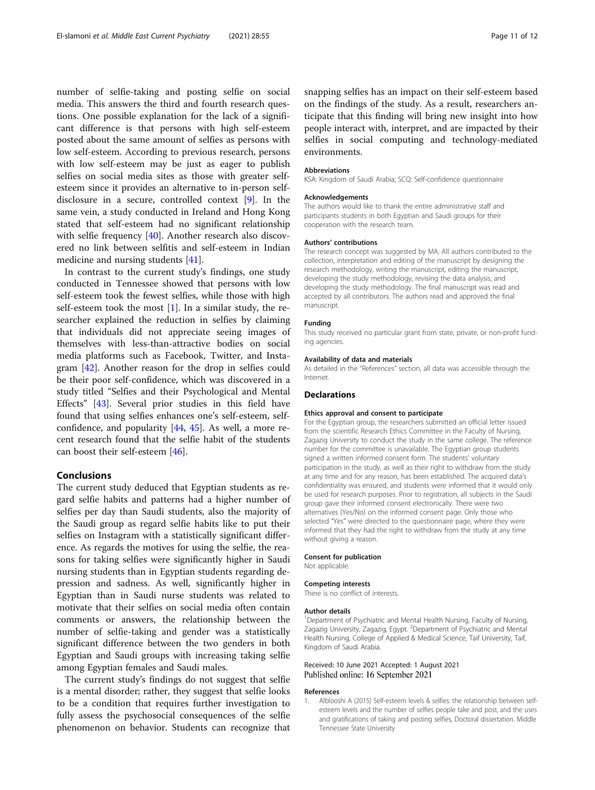<span id="page-10-0"></span>number of selfie-taking and posting selfie on social media. This answers the third and fourth research questions. One possible explanation for the lack of a significant difference is that persons with high self-esteem posted about the same amount of selfies as persons with low self-esteem. According to previous research, persons with low self-esteem may be just as eager to publish selfies on social media sites as those with greater selfesteem since it provides an alternative to in-person selfdisclosure in a secure, controlled context [\[9](#page-11-0)]. In the same vein, a study conducted in Ireland and Hong Kong stated that self-esteem had no significant relationship with selfie frequency [[40](#page-11-0)]. Another research also discovered no link between selfitis and self-esteem in Indian medicine and nursing students [[41\]](#page-11-0).

In contrast to the current study's findings, one study conducted in Tennessee showed that persons with low self-esteem took the fewest selfies, while those with high self-esteem took the most [1]. In a similar study, the researcher explained the reduction in selfies by claiming that individuals did not appreciate seeing images of themselves with less-than-attractive bodies on social media platforms such as Facebook, Twitter, and Instagram [[42\]](#page-11-0). Another reason for the drop in selfies could be their poor self-confidence, which was discovered in a study titled "Selfies and their Psychological and Mental Effects" [\[43](#page-11-0)]. Several prior studies in this field have found that using selfies enhances one's self-esteem, selfconfidence, and popularity [\[44,](#page-11-0) [45\]](#page-11-0). As well, a more recent research found that the selfie habit of the students can boost their self-esteem [[46\]](#page-11-0).

# Conclusions

The current study deduced that Egyptian students as regard selfie habits and patterns had a higher number of selfies per day than Saudi students, also the majority of the Saudi group as regard selfie habits like to put their selfies on Instagram with a statistically significant difference. As regards the motives for using the selfie, the reasons for taking selfies were significantly higher in Saudi nursing students than in Egyptian students regarding depression and sadness. As well, significantly higher in Egyptian than in Saudi nurse students was related to motivate that their selfies on social media often contain comments or answers, the relationship between the number of selfie-taking and gender was a statistically significant difference between the two genders in both Egyptian and Saudi groups with increasing taking selfie among Egyptian females and Saudi males.

The current study's findings do not suggest that selfie is a mental disorder; rather, they suggest that selfie looks to be a condition that requires further investigation to fully assess the psychosocial consequences of the selfie phenomenon on behavior. Students can recognize that snapping selfies has an impact on their self-esteem based on the findings of the study. As a result, researchers anticipate that this finding will bring new insight into how people interact with, interpret, and are impacted by their selfies in social computing and technology-mediated environments.

#### Abbreviations

KSA: Kingdom of Saudi Arabia; SCQ: Self-confidence questionnaire

#### Acknowledgements

The authors would like to thank the entire administrative staff and participants students in both Egyptian and Saudi groups for their cooperation with the research team.

#### Authors' contributions

The research concept was suggested by MA. All authors contributed to the collection, interpretation and editing of the manuscript by designing the research methodology, writing the manuscript, editing the manuscript, developing the study methodology, revising the data analysis, and developing the study methodology. The final manuscript was read and accepted by all contributors. The authors read and approved the final manuscript.

### Funding

This study received no particular grant from state, private, or non-profit funding agencies.

#### Availability of data and materials

As detailed in the "References" section, all data was accessible through the Internet.

# **Declarations**

### Ethics approval and consent to participate

For the Egyptian group, the researchers submitted an official letter issued from the scientific Research Ethics Committee in the Faculty of Nursing, Zagazig University to conduct the study in the same college. The reference number for the committee is unavailable. The Egyptian group students signed a written informed consent form. The students' voluntary participation in the study, as well as their right to withdraw from the study at any time and for any reason, has been established. The acquired data's confidentiality was ensured, and students were informed that it would only be used for research purposes. Prior to registration, all subjects in the Saudi group gave their informed consent electronically. There were two alternatives (Yes/No) on the informed consent page. Only those who selected "Yes" were directed to the questionnaire page, where they were informed that they had the right to withdraw from the study at any time without giving a reason.

#### Consent for publication

Not applicable.

#### Competing interests

There is no conflict of interests.

#### Author details

<sup>1</sup>Department of Psychiatric and Mental Health Nursing, Faculty of Nursing, Zagazig University, Zagazig, Egypt. <sup>2</sup>Department of Psychiatric and Mental Health Nursing, College of Applied & Medical Science, Taif University, Taif, Kingdom of Saudi Arabia.

# Received: 10 June 2021 Accepted: 1 August 2021 Published online: 16 September 2021

### References

1. Alblooshi A (2015) Self-esteem levels & selfies: the relationship between selfesteem levels and the number of selfies people take and post, and the uses and gratifications of taking and posting selfies, Doctoral dissertation. Middle Tennessee State University